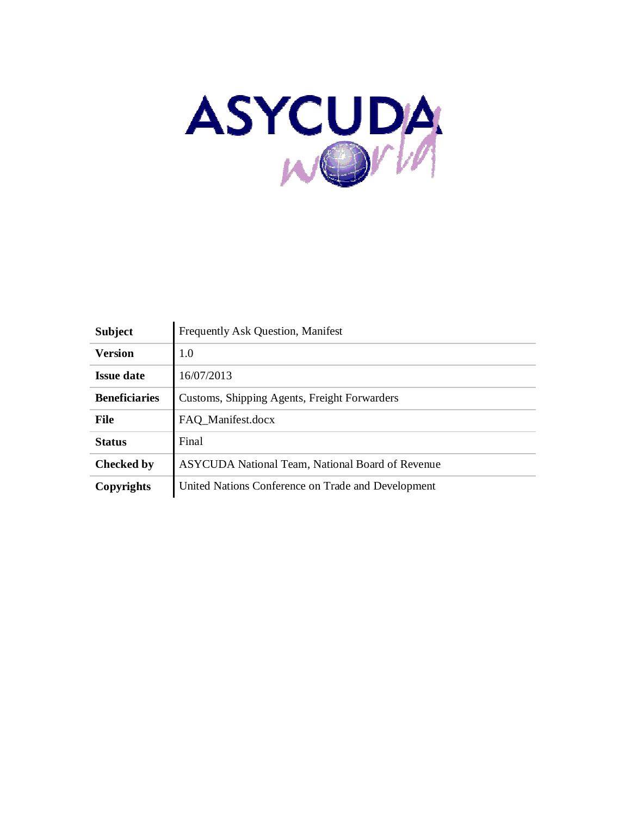

| <b>Subject</b>       | <b>Frequently Ask Question, Manifest</b>                |
|----------------------|---------------------------------------------------------|
| <b>Version</b>       | 1.0                                                     |
| <b>Issue date</b>    | 16/07/2013                                              |
| <b>Beneficiaries</b> | Customs, Shipping Agents, Freight Forwarders            |
| <b>File</b>          | FAQ Manifest.docx                                       |
| <b>Status</b>        | Final                                                   |
| <b>Checked by</b>    | <b>ASYCUDA</b> National Team, National Board of Revenue |
| Copyrights           | United Nations Conference on Trade and Development      |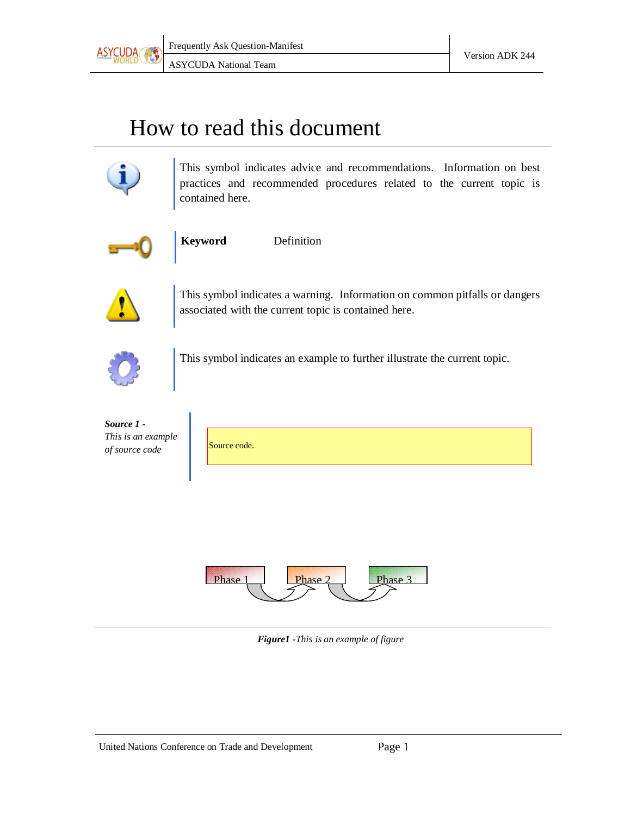

### How to read this document



This symbol indicates advice and recommendations. Information on best practices and recommended procedures related to the current topic is contained here.



**Keyword** Definition



This symbol indicates a warning. Information on common pitfalls or dangers associated with the current topic is contained here.



This symbol indicates an example to further illustrate the current topic.

| Source 1 -         |              |
|--------------------|--------------|
| This is an example |              |
| of source code     | Source code. |

| Source code. |  |
|--------------|--|
|              |  |



*Figure1 -This is an example of figure*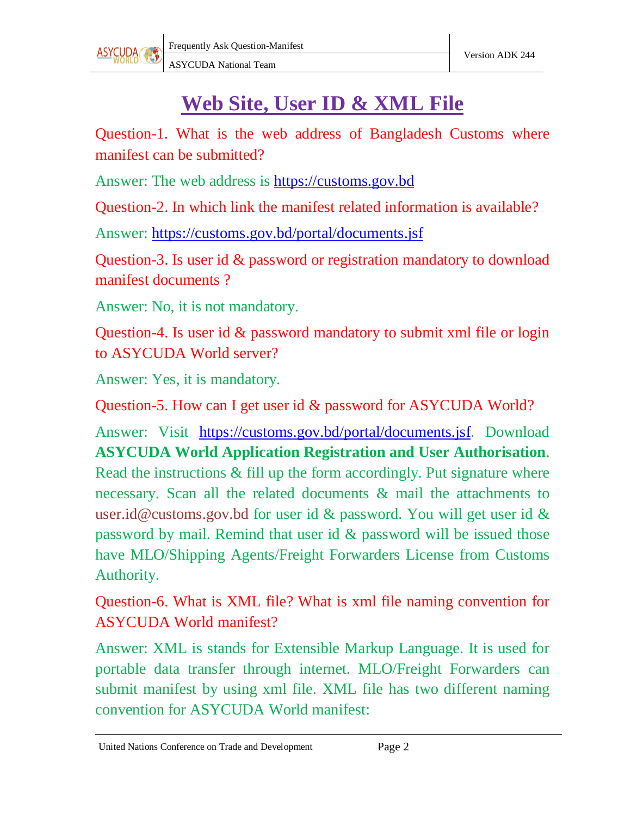

### **Web Site, User ID & XML File**

Question-1. What is the web address of Bangladesh Customs where manifest can be submitted?

Answer: The web address is https://customs.gov.bd

Question-2. In which link the manifest related information is available?

Answer: https://customs.gov.bd/portal/documents.jsf

Question-3. Is user id & password or registration mandatory to download manifest documents ?

Answer: No, it is not mandatory.

Question-4. Is user id & password mandatory to submit xml file or login to ASYCUDA World server?

Answer: Yes, it is mandatory.

Question-5. How can I get user id & password for ASYCUDA World?

Answer: Visit https://customs.gov.bd/portal/documents.jsf. Download **ASYCUDA World Application Registration and User Authorisation**. Read the instructions & fill up the form accordingly. Put signature where necessary. Scan all the related documents & mail the attachments to user.id@customs.gov.bd for user id & password. You will get user id & password by mail. Remind that user id & password will be issued those have MLO/Shipping Agents/Freight Forwarders License from Customs Authority.

Question-6. What is XML file? What is xml file naming convention for ASYCUDA World manifest?

Answer: XML is stands for Extensible Markup Language. It is used for portable data transfer through internet. MLO/Freight Forwarders can submit manifest by using xml file. XML file has two different naming convention for ASYCUDA World manifest: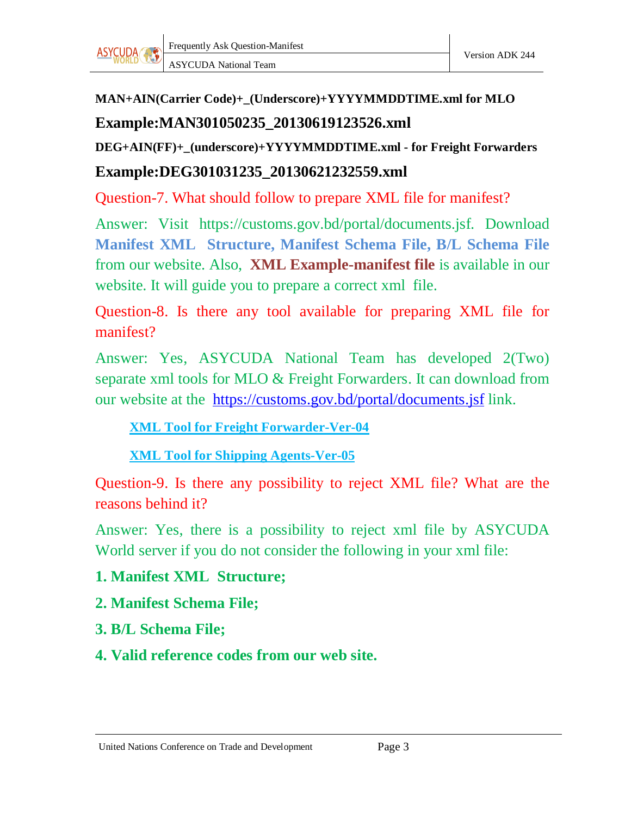

# **MAN+AIN(Carrier Code)+\_(Underscore)+YYYYMMDDTIME.xml for MLO**

**Example:MAN301050235\_20130619123526.xml**

**DEG+AIN(FF)+\_(underscore)+YYYYMMDDTIME.xml - for Freight Forwarders**

#### **Example:DEG301031235\_20130621232559.xml**

Question-7. What should follow to prepare XML file for manifest?

Answer: Visit https://customs.gov.bd/portal/documents.jsf. Download **Manifest XML Structure, Manifest Schema File, B/L Schema File** from our website. Also, **XML Example-manifest file** is available in our website. It will guide you to prepare a correct xml file.

Question-8. Is there any tool available for preparing XML file for manifest?

Answer: Yes, ASYCUDA National Team has developed 2(Two) separate xml tools for MLO & Freight Forwarders. It can download from our website at the https://customs.gov.bd/portal/documents.jsf link.

**XML Tool for Freight Forwarder-Ver-04**

**XML Tool for Shipping Agents-Ver-05**

Question-9. Is there any possibility to reject XML file? What are the reasons behind it?

Answer: Yes, there is a possibility to reject xml file by ASYCUDA World server if you do not consider the following in your xml file:

#### **1. Manifest XML Structure;**

- **2. Manifest Schema File;**
- **3. B/L Schema File;**
- **4. Valid reference codes from our web site.**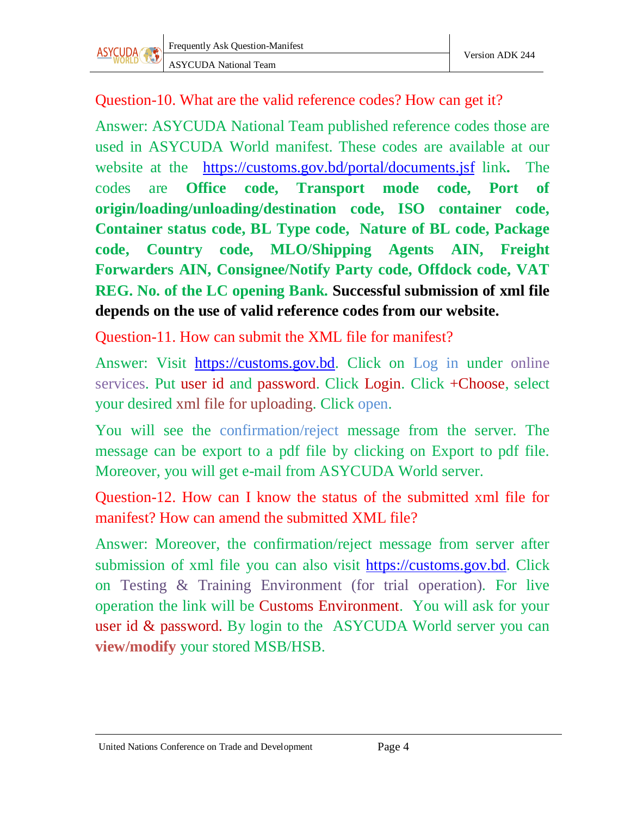Question-10. What are the valid reference codes? How can get it?

Answer: ASYCUDA National Team published reference codes those are used in ASYCUDA World manifest. These codes are available at our website at the https://customs.gov.bd/portal/documents.jsf link**.** The codes are **Office code, Transport mode code, Port of origin/loading/unloading/destination code, ISO container code, Container status code, BL Type code, Nature of BL code, Package code, Country code, MLO/Shipping Agents AIN, Freight Forwarders AIN, Consignee/Notify Party code, Offdock code, VAT REG. No. of the LC opening Bank. Successful submission of xml file depends on the use of valid reference codes from our website.**

Question-11. How can submit the XML file for manifest?

Answer: Visit https://customs.gov.bd. Click on Log in under online services. Put user id and password. Click Login. Click +Choose, select your desired xml file for uploading. Click open.

You will see the confirmation/reject message from the server. The message can be export to a pdf file by clicking on Export to pdf file. Moreover, you will get e-mail from ASYCUDA World server.

Question-12. How can I know the status of the submitted xml file for manifest? How can amend the submitted XML file?

Answer: Moreover, the confirmation/reject message from server after submission of xml file you can also visit https://customs.gov.bd. Click on Testing & Training Environment (for trial operation). For live operation the link will be Customs Environment. You will ask for your user id & password. By login to the ASYCUDA World server you can **view/modify** your stored MSB/HSB.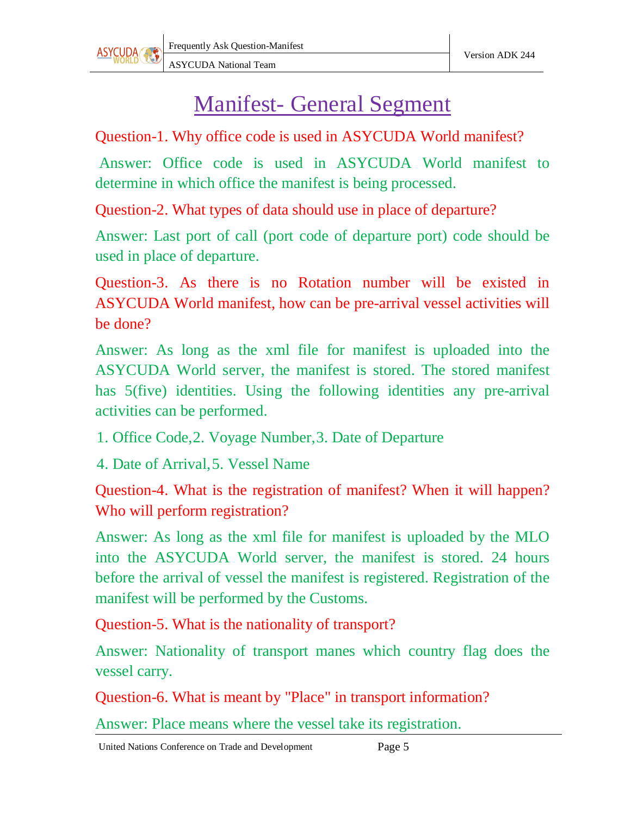

### Manifest- General Segment

Question-1. Why office code is used in ASYCUDA World manifest?

Answer: Office code is used in ASYCUDA World manifest to determine in which office the manifest is being processed.

Question-2. What types of data should use in place of departure?

Answer: Last port of call (port code of departure port) code should be used in place of departure.

Question-3. As there is no Rotation number will be existed in ASYCUDA World manifest, how can be pre-arrival vessel activities will be done?

Answer: As long as the xml file for manifest is uploaded into the ASYCUDA World server, the manifest is stored. The stored manifest has 5(five) identities. Using the following identities any pre-arrival activities can be performed.

1. Office Code,2. Voyage Number,3. Date of Departure

4. Date of Arrival,5. Vessel Name

Question-4. What is the registration of manifest? When it will happen? Who will perform registration?

Answer: As long as the xml file for manifest is uploaded by the MLO into the ASYCUDA World server, the manifest is stored. 24 hours before the arrival of vessel the manifest is registered. Registration of the manifest will be performed by the Customs.

Question-5. What is the nationality of transport?

Answer: Nationality of transport manes which country flag does the vessel carry.

Question-6. What is meant by "Place" in transport information?

Answer: Place means where the vessel take its registration.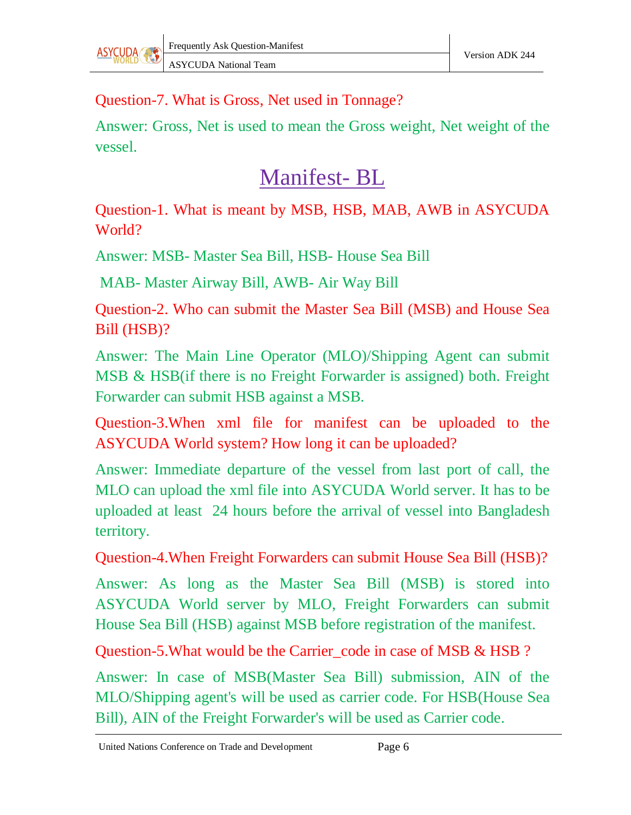Question-7. What is Gross, Net used in Tonnage?

Answer: Gross, Net is used to mean the Gross weight, Net weight of the vessel.

## Manifest- BL

Question-1. What is meant by MSB, HSB, MAB, AWB in ASYCUDA World?

Answer: MSB- Master Sea Bill, HSB- House Sea Bill

MAB- Master Airway Bill, AWB- Air Way Bill

Question-2. Who can submit the Master Sea Bill (MSB) and House Sea Bill (HSB)?

Answer: The Main Line Operator (MLO)/Shipping Agent can submit MSB & HSB(if there is no Freight Forwarder is assigned) both. Freight Forwarder can submit HSB against a MSB.

Question-3.When xml file for manifest can be uploaded to the ASYCUDA World system? How long it can be uploaded?

Answer: Immediate departure of the vessel from last port of call, the MLO can upload the xml file into ASYCUDA World server. It has to be uploaded at least 24 hours before the arrival of vessel into Bangladesh territory.

Question-4.When Freight Forwarders can submit House Sea Bill (HSB)?

Answer: As long as the Master Sea Bill (MSB) is stored into ASYCUDA World server by MLO, Freight Forwarders can submit House Sea Bill (HSB) against MSB before registration of the manifest.

Question-5. What would be the Carrier code in case of MSB & HSB ?

Answer: In case of MSB(Master Sea Bill) submission, AIN of the MLO/Shipping agent's will be used as carrier code. For HSB(House Sea Bill), AIN of the Freight Forwarder's will be used as Carrier code.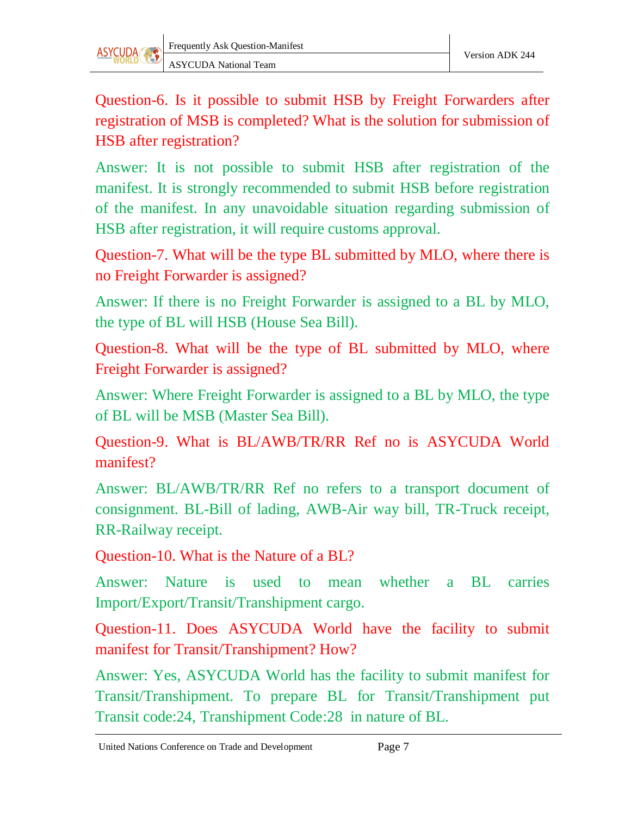

Question-6. Is it possible to submit HSB by Freight Forwarders after registration of MSB is completed? What is the solution for submission of HSB after registration?

Answer: It is not possible to submit HSB after registration of the manifest. It is strongly recommended to submit HSB before registration of the manifest. In any unavoidable situation regarding submission of HSB after registration, it will require customs approval.

Question-7. What will be the type BL submitted by MLO, where there is no Freight Forwarder is assigned?

Answer: If there is no Freight Forwarder is assigned to a BL by MLO, the type of BL will HSB (House Sea Bill).

Question-8. What will be the type of BL submitted by MLO, where Freight Forwarder is assigned?

Answer: Where Freight Forwarder is assigned to a BL by MLO, the type of BL will be MSB (Master Sea Bill).

Question-9. What is BL/AWB/TR/RR Ref no is ASYCUDA World manifest?

Answer: BL/AWB/TR/RR Ref no refers to a transport document of consignment. BL-Bill of lading, AWB-Air way bill, TR-Truck receipt, RR-Railway receipt.

Question-10. What is the Nature of a BL?

Answer: Nature is used to mean whether a BL carries Import/Export/Transit/Transhipment cargo.

Question-11. Does ASYCUDA World have the facility to submit manifest for Transit/Transhipment? How?

Answer: Yes, ASYCUDA World has the facility to submit manifest for Transit/Transhipment. To prepare BL for Transit/Transhipment put Transit code:24, Transhipment Code:28 in nature of BL.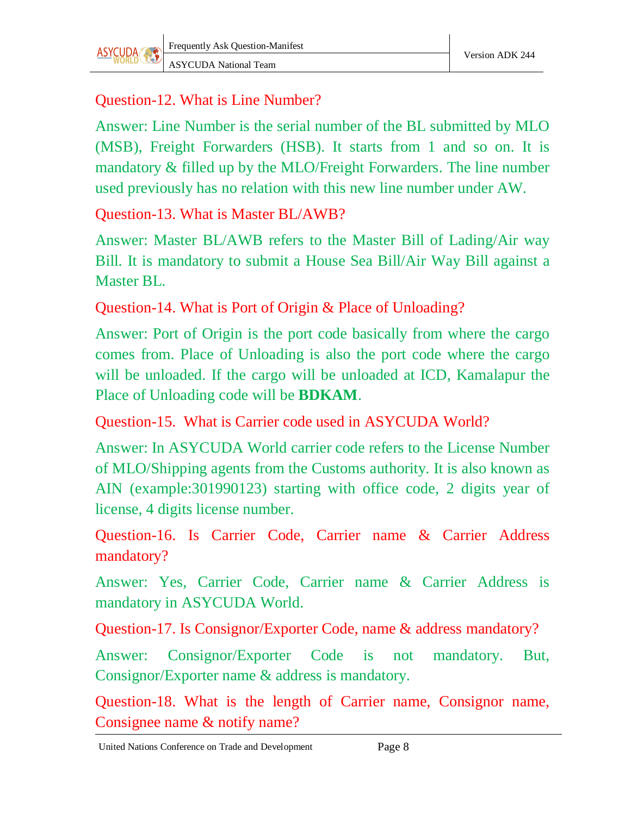#### Question-12. What is Line Number?

Answer: Line Number is the serial number of the BL submitted by MLO (MSB), Freight Forwarders (HSB). It starts from 1 and so on. It is mandatory & filled up by the MLO/Freight Forwarders. The line number used previously has no relation with this new line number under AW.

Question-13. What is Master BL/AWB?

Answer: Master BL/AWB refers to the Master Bill of Lading/Air way Bill. It is mandatory to submit a House Sea Bill/Air Way Bill against a Master BL.

Question-14. What is Port of Origin & Place of Unloading?

Answer: Port of Origin is the port code basically from where the cargo comes from. Place of Unloading is also the port code where the cargo will be unloaded. If the cargo will be unloaded at ICD, Kamalapur the Place of Unloading code will be **BDKAM**.

Question-15. What is Carrier code used in ASYCUDA World?

Answer: In ASYCUDA World carrier code refers to the License Number of MLO/Shipping agents from the Customs authority. It is also known as AIN (example:301990123) starting with office code, 2 digits year of license, 4 digits license number.

Question-16. Is Carrier Code, Carrier name & Carrier Address mandatory?

Answer: Yes, Carrier Code, Carrier name & Carrier Address is mandatory in ASYCUDA World.

Question-17. Is Consignor/Exporter Code, name & address mandatory?

Answer: Consignor/Exporter Code is not mandatory. But, Consignor/Exporter name & address is mandatory.

Question-18. What is the length of Carrier name, Consignor name, Consignee name & notify name?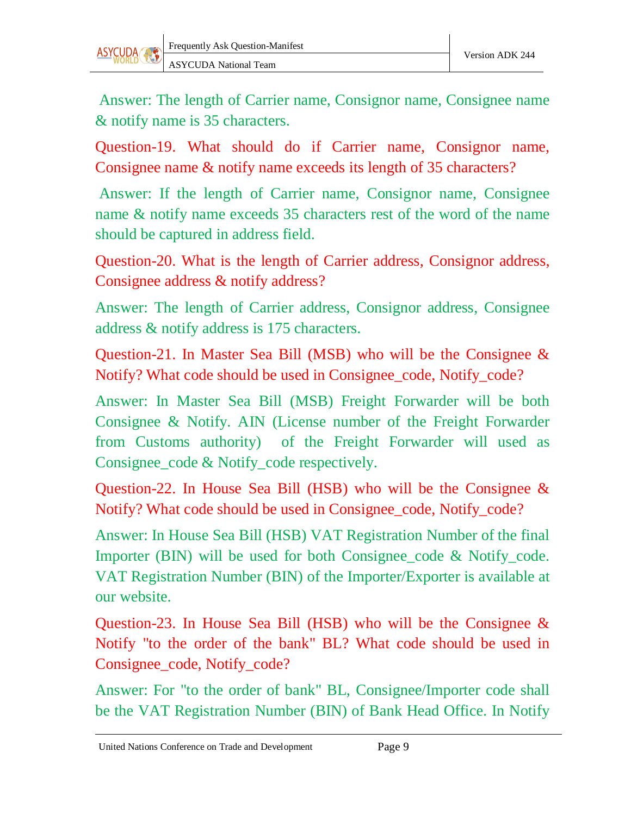

Answer: The length of Carrier name, Consignor name, Consignee name & notify name is 35 characters.

Question-19. What should do if Carrier name, Consignor name, Consignee name & notify name exceeds its length of 35 characters?

Answer: If the length of Carrier name, Consignor name, Consignee name & notify name exceeds 35 characters rest of the word of the name should be captured in address field.

Question-20. What is the length of Carrier address, Consignor address, Consignee address & notify address?

Answer: The length of Carrier address, Consignor address, Consignee address & notify address is 175 characters.

Question-21. In Master Sea Bill (MSB) who will be the Consignee & Notify? What code should be used in Consignee\_code, Notify\_code?

Answer: In Master Sea Bill (MSB) Freight Forwarder will be both Consignee & Notify. AIN (License number of the Freight Forwarder from Customs authority) of the Freight Forwarder will used as Consignee\_code & Notify\_code respectively.

Question-22. In House Sea Bill (HSB) who will be the Consignee & Notify? What code should be used in Consignee\_code, Notify\_code?

Answer: In House Sea Bill (HSB) VAT Registration Number of the final Importer (BIN) will be used for both Consignee\_code & Notify\_code. VAT Registration Number (BIN) of the Importer/Exporter is available at our website.

Question-23. In House Sea Bill (HSB) who will be the Consignee & Notify "to the order of the bank" BL? What code should be used in Consignee\_code, Notify\_code?

Answer: For "to the order of bank" BL, Consignee/Importer code shall be the VAT Registration Number (BIN) of Bank Head Office. In Notify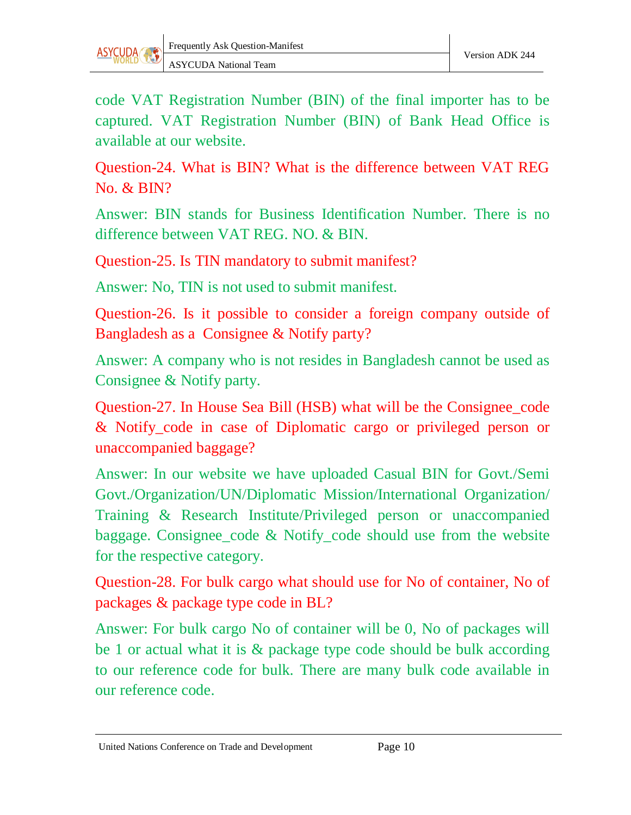

code VAT Registration Number (BIN) of the final importer has to be captured. VAT Registration Number (BIN) of Bank Head Office is available at our website.

Question-24. What is BIN? What is the difference between VAT REG No. & BIN?

Answer: BIN stands for Business Identification Number. There is no difference between VAT REG. NO. & BIN.

Question-25. Is TIN mandatory to submit manifest?

Answer: No, TIN is not used to submit manifest.

Question-26. Is it possible to consider a foreign company outside of Bangladesh as a Consignee & Notify party?

Answer: A company who is not resides in Bangladesh cannot be used as Consignee & Notify party.

Question-27. In House Sea Bill (HSB) what will be the Consignee\_code & Notify\_code in case of Diplomatic cargo or privileged person or unaccompanied baggage?

Answer: In our website we have uploaded Casual BIN for Govt./Semi Govt./Organization/UN/Diplomatic Mission/International Organization/ Training & Research Institute/Privileged person or unaccompanied baggage. Consignee\_code & Notify\_code should use from the website for the respective category.

Question-28. For bulk cargo what should use for No of container, No of packages & package type code in BL?

Answer: For bulk cargo No of container will be 0, No of packages will be 1 or actual what it is & package type code should be bulk according to our reference code for bulk. There are many bulk code available in our reference code.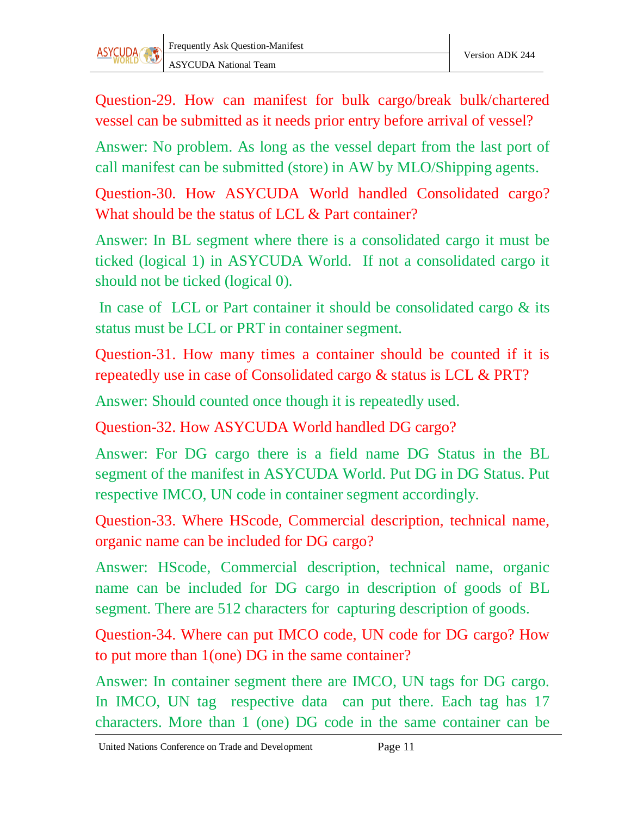

Question-29. How can manifest for bulk cargo/break bulk/chartered vessel can be submitted as it needs prior entry before arrival of vessel?

Answer: No problem. As long as the vessel depart from the last port of call manifest can be submitted (store) in AW by MLO/Shipping agents.

Question-30. How ASYCUDA World handled Consolidated cargo? What should be the status of LCL & Part container?

Answer: In BL segment where there is a consolidated cargo it must be ticked (logical 1) in ASYCUDA World. If not a consolidated cargo it should not be ticked (logical 0).

In case of LCL or Part container it should be consolidated cargo & its status must be LCL or PRT in container segment.

Question-31. How many times a container should be counted if it is repeatedly use in case of Consolidated cargo & status is LCL & PRT?

Answer: Should counted once though it is repeatedly used.

Question-32. How ASYCUDA World handled DG cargo?

Answer: For DG cargo there is a field name DG Status in the BL segment of the manifest in ASYCUDA World. Put DG in DG Status. Put respective IMCO, UN code in container segment accordingly.

Question-33. Where HScode, Commercial description, technical name, organic name can be included for DG cargo?

Answer: HScode, Commercial description, technical name, organic name can be included for DG cargo in description of goods of BL segment. There are 512 characters for capturing description of goods.

Question-34. Where can put IMCO code, UN code for DG cargo? How to put more than 1(one) DG in the same container?

Answer: In container segment there are IMCO, UN tags for DG cargo. In IMCO, UN tag respective data can put there. Each tag has 17 characters. More than 1 (one) DG code in the same container can be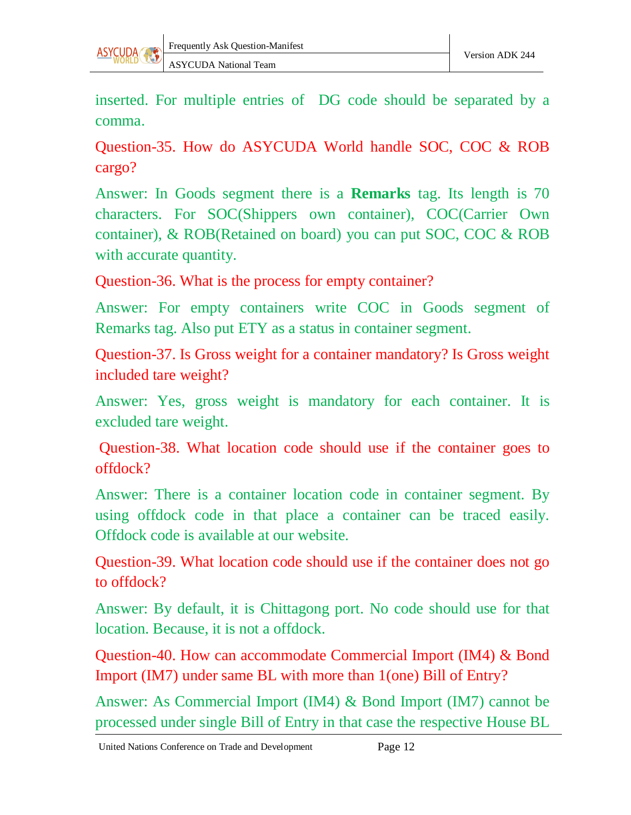

inserted. For multiple entries of DG code should be separated by a comma.

Question-35. How do ASYCUDA World handle SOC, COC & ROB cargo?

Answer: In Goods segment there is a **Remarks** tag. Its length is 70 characters. For SOC(Shippers own container), COC(Carrier Own container), & ROB(Retained on board) you can put SOC, COC & ROB with accurate quantity.

Question-36. What is the process for empty container?

Answer: For empty containers write COC in Goods segment of Remarks tag. Also put ETY as a status in container segment.

Question-37. Is Gross weight for a container mandatory? Is Gross weight included tare weight?

Answer: Yes, gross weight is mandatory for each container. It is excluded tare weight.

Question-38. What location code should use if the container goes to offdock?

Answer: There is a container location code in container segment. By using offdock code in that place a container can be traced easily. Offdock code is available at our website.

Question-39. What location code should use if the container does not go to offdock?

Answer: By default, it is Chittagong port. No code should use for that location. Because, it is not a offdock.

Question-40. How can accommodate Commercial Import (IM4) & Bond Import (IM7) under same BL with more than 1(one) Bill of Entry?

Answer: As Commercial Import (IM4) & Bond Import (IM7) cannot be processed under single Bill of Entry in that case the respective House BL